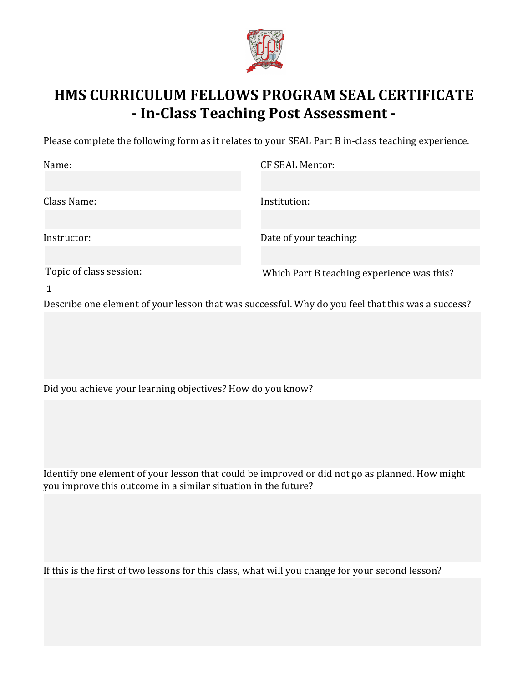